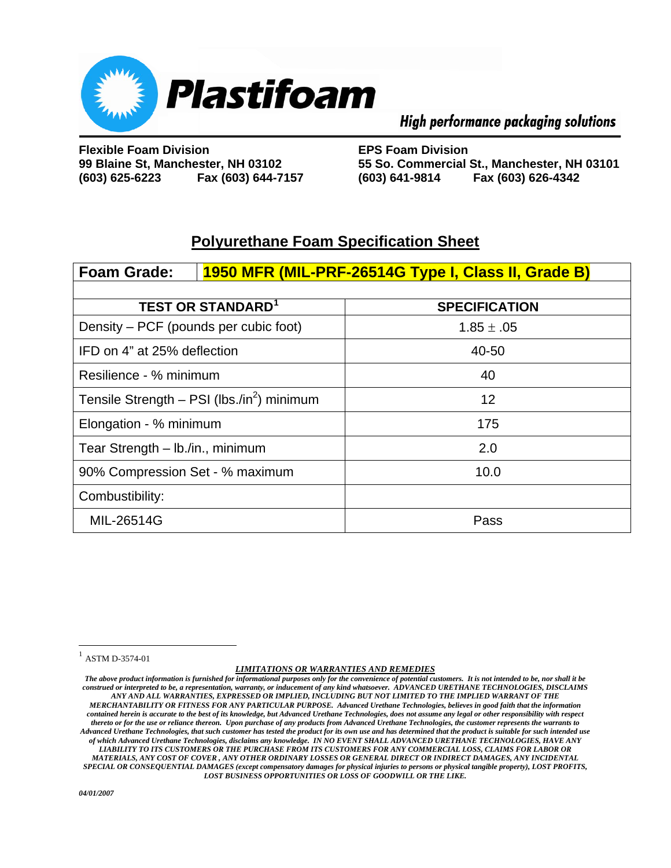

## High performance packaging solutions

**Flexible Foam Division EPS Foam Division (603) 625-6223 Fax (603) 644-7157 (603) 641-9814 Fax (603) 626-4342** 

**99 Blaine St, Manchester, NH 03102 55 So. Commercial St., Manchester, NH 03101** 

## **Polyurethane Foam Specification Sheet**

| <b>Foam Grade:</b><br>1950 MFR (MIL-PRF-26514G Type I, Class II, Grade B) |                      |
|---------------------------------------------------------------------------|----------------------|
|                                                                           |                      |
| <b>TEST OR STANDARD<sup>1</sup></b>                                       | <b>SPECIFICATION</b> |
| Density – PCF (pounds per cubic foot)                                     | $1.85 \pm .05$       |
| IFD on 4" at 25% deflection                                               | 40-50                |
| Resilience - % minimum                                                    | 40                   |
| Tensile Strength - PSI (lbs./in <sup>2</sup> ) minimum                    | 12                   |
| Elongation - % minimum                                                    | 175                  |
| Tear Strength - Ib./in., minimum                                          | 2.0                  |
| 90% Compression Set - % maximum                                           | 10.0                 |
| Combustibility:                                                           |                      |
| MIL-26514G                                                                | Pass                 |

 $\overline{a}$ 

*LIMITATIONS OR WARRANTIES AND REMEDIES*

<span id="page-0-0"></span> $^{\rm 1}$  ASTM D-3574-01

*The above product information is furnished for informational purposes only for the convenience of potential customers. It is not intended to be, nor shall it be construed or interpreted to be, a representation, warranty, or inducement of any kind whatsoever. ADVANCED URETHANE TECHNOLOGIES, DISCLAIMS ANY AND ALL WARRANTIES, EXPRESSED OR IMPLIED, INCLUDING BUT NOT LIMITED TO THE IMPLIED WARRANT OF THE MERCHANTABILITY OR FITNESS FOR ANY PARTICULAR PURPOSE. Advanced Urethane Technologies, believes in good faith that the information contained herein is accurate to the best of its knowledge, but Advanced Urethane Technologies, does not assume any legal or other responsibility with respect thereto or for the use or reliance thereon. Upon purchase of any products from Advanced Urethane Technologies, the customer represents the warrants to Advanced Urethane Technologies, that such customer has tested the product for its own use and has determined that the product is suitable for such intended use of which Advanced Urethane Technologies, disclaims any knowledge. IN NO EVENT SHALL ADVANCED URETHANE TECHNOLOGIES, HAVE ANY LIABILITY TO ITS CUSTOMERS OR THE PURCHASE FROM ITS CUSTOMERS FOR ANY COMMERCIAL LOSS, CLAIMS FOR LABOR OR MATERIALS, ANY COST OF COVER , ANY OTHER ORDINARY LOSSES OR GENERAL DIRECT OR INDIRECT DAMAGES, ANY INCIDENTAL SPECIAL OR CONSEQUENTIAL DAMAGES (except compensatory damages for physical injuries to persons or physical tangible property), LOST PROFITS, LOST BUSINESS OPPORTUNITIES OR LOSS OF GOODWILL OR THE LIKE.*